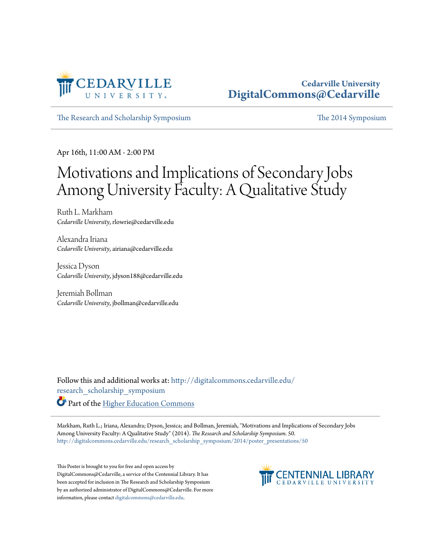

### **Cedarville University [DigitalCommons@Cedarville](http://digitalcommons.cedarville.edu?utm_source=digitalcommons.cedarville.edu%2Fresearch_scholarship_symposium%2F2014%2Fposter_presentations%2F50&utm_medium=PDF&utm_campaign=PDFCoverPages)**

[The Research and Scholarship Symposium](http://digitalcommons.cedarville.edu/research_scholarship_symposium?utm_source=digitalcommons.cedarville.edu%2Fresearch_scholarship_symposium%2F2014%2Fposter_presentations%2F50&utm_medium=PDF&utm_campaign=PDFCoverPages) [The 2014 Symposium](http://digitalcommons.cedarville.edu/research_scholarship_symposium/2014?utm_source=digitalcommons.cedarville.edu%2Fresearch_scholarship_symposium%2F2014%2Fposter_presentations%2F50&utm_medium=PDF&utm_campaign=PDFCoverPages)

Apr 16th, 11:00 AM - 2:00 PM

### Motivations and Implications of Secondary Jobs Among University Faculty: A Qualitative Study

Ruth L. Markham *Cedarville University*, rlowrie@cedarville.edu

Alexandra Iriana *Cedarville University*, airiana@cedarville.edu

Jessica Dyson *Cedarville University*, jdyson188@cedarville.edu

Jeremiah Bollman *Cedarville University*, jbollman@cedarville.edu

Follow this and additional works at: [http://digitalcommons.cedarville.edu/](http://digitalcommons.cedarville.edu/research_scholarship_symposium?utm_source=digitalcommons.cedarville.edu%2Fresearch_scholarship_symposium%2F2014%2Fposter_presentations%2F50&utm_medium=PDF&utm_campaign=PDFCoverPages) [research\\_scholarship\\_symposium](http://digitalcommons.cedarville.edu/research_scholarship_symposium?utm_source=digitalcommons.cedarville.edu%2Fresearch_scholarship_symposium%2F2014%2Fposter_presentations%2F50&utm_medium=PDF&utm_campaign=PDFCoverPages)

**Part of the [Higher Education Commons](http://network.bepress.com/hgg/discipline/1245?utm_source=digitalcommons.cedarville.edu%2Fresearch_scholarship_symposium%2F2014%2Fposter_presentations%2F50&utm_medium=PDF&utm_campaign=PDFCoverPages)** 

Markham, Ruth L.; Iriana, Alexandra; Dyson, Jessica; and Bollman, Jeremiah, "Motivations and Implications of Secondary Jobs Among University Faculty: A Qualitative Study" (2014). *The Research and Scholarship Symposium*. 50. [http://digitalcommons.cedarville.edu/research\\_scholarship\\_symposium/2014/poster\\_presentations/50](http://digitalcommons.cedarville.edu/research_scholarship_symposium/2014/poster_presentations/50?utm_source=digitalcommons.cedarville.edu%2Fresearch_scholarship_symposium%2F2014%2Fposter_presentations%2F50&utm_medium=PDF&utm_campaign=PDFCoverPages)

This Poster is brought to you for free and open access by DigitalCommons@Cedarville, a service of the Centennial Library. It has been accepted for inclusion in The Research and Scholarship Symposium by an authorized administrator of DigitalCommons@Cedarville. For more information, please contact [digitalcommons@cedarville.edu.](mailto:digitalcommons@cedarville.edu)